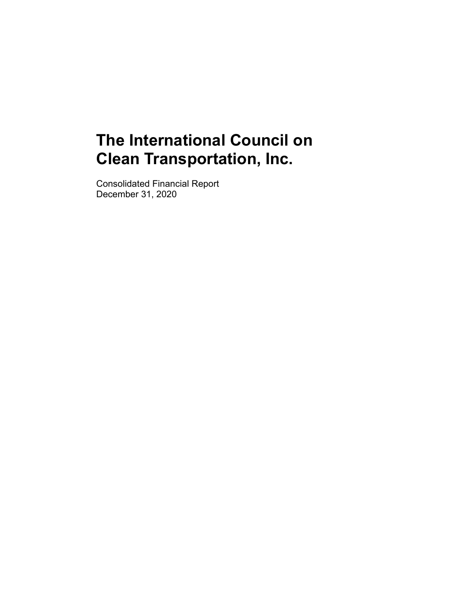Consolidated Financial Report December 31, 2020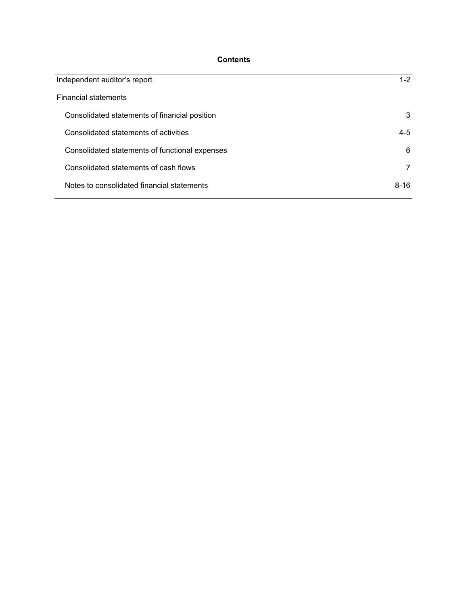# **Contents**

| Independent auditor's report                   | $1 - 2$  |
|------------------------------------------------|----------|
| <b>Financial statements</b>                    |          |
| Consolidated statements of financial position  | 3        |
| Consolidated statements of activities          | 4-5      |
| Consolidated statements of functional expenses | 6        |
| Consolidated statements of cash flows          | 7        |
| Notes to consolidated financial statements     | $8 - 16$ |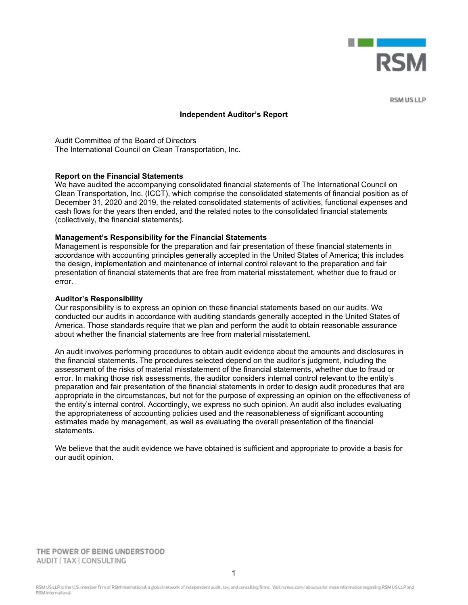

**RSMUSLIP** 

#### **Independent Auditor's Report**

Audit Committee of the Board of Directors The International Council on Clean Transportation, Inc.

#### **Report on the Financial Statements**

We have audited the accompanying consolidated financial statements of The International Council on Clean Transportation, Inc. (ICCT), which comprise the consolidated statements of financial position as of December 31, 2020 and 2019, the related consolidated statements of activities, functional expenses and cash flows for the years then ended, and the related notes to the consolidated financial statements (collectively, the financial statements).

#### **Management's Responsibility for the Financial Statements**

Management is responsible for the preparation and fair presentation of these financial statements in accordance with accounting principles generally accepted in the United States of America; this includes the design, implementation and maintenance of internal control relevant to the preparation and fair presentation of financial statements that are free from material misstatement, whether due to fraud or error.

#### **Auditor's Responsibility**

Our responsibility is to express an opinion on these financial statements based on our audits. We conducted our audits in accordance with auditing standards generally accepted in the United States of America. Those standards require that we plan and perform the audit to obtain reasonable assurance about whether the financial statements are free from material misstatement.

An audit involves performing procedures to obtain audit evidence about the amounts and disclosures in the financial statements. The procedures selected depend on the auditor's judgment, including the assessment of the risks of material misstatement of the financial statements, whether due to fraud or error. In making those risk assessments, the auditor considers internal control relevant to the entity's preparation and fair presentation of the financial statements in order to design audit procedures that are appropriate in the circumstances, but not for the purpose of expressing an opinion on the effectiveness of the entity's internal control. Accordingly, we express no such opinion. An audit also includes evaluating the appropriateness of accounting policies used and the reasonableness of significant accounting estimates made by management, as well as evaluating the overall presentation of the financial statements.

We believe that the audit evidence we have obtained is sufficient and appropriate to provide a basis for our audit opinion.

THE POWER OF BEING UNDERSTOOD AUDIT | TAX | CONSULTING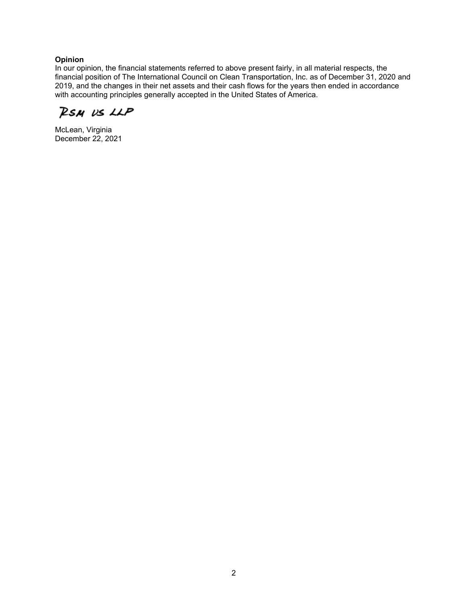# **Opinion**

In our opinion, the financial statements referred to above present fairly, in all material respects, the financial position of The International Council on Clean Transportation, Inc. as of December 31, 2020 and 2019, and the changes in their net assets and their cash flows for the years then ended in accordance with accounting principles generally accepted in the United States of America.

RSM US LLP

McLean, Virginia December 22, 2021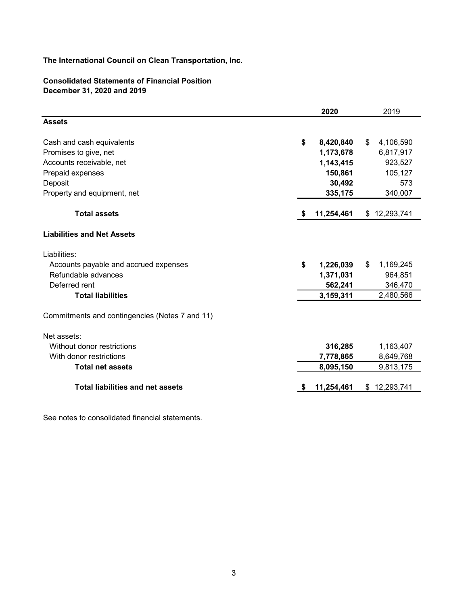# **Consolidated Statements of Financial Position December 31, 2020 and 2019**

| <b>Assets</b><br>\$<br>Cash and cash equivalents<br>Promises to give, net<br>Accounts receivable, net<br>Prepaid expenses<br>Deposit<br>Property and equipment, net<br><b>Total assets</b><br>S<br><b>Liabilities and Net Assets</b><br>Liabilities: | 8,420,840<br>\$<br>1,173,678 | 4,106,590    |
|------------------------------------------------------------------------------------------------------------------------------------------------------------------------------------------------------------------------------------------------------|------------------------------|--------------|
|                                                                                                                                                                                                                                                      |                              |              |
|                                                                                                                                                                                                                                                      |                              |              |
|                                                                                                                                                                                                                                                      |                              | 6,817,917    |
|                                                                                                                                                                                                                                                      | 1,143,415                    | 923,527      |
|                                                                                                                                                                                                                                                      | 150,861                      | 105,127      |
|                                                                                                                                                                                                                                                      | 30,492                       | 573          |
|                                                                                                                                                                                                                                                      | 335,175                      | 340,007      |
|                                                                                                                                                                                                                                                      | 11,254,461                   | \$12,293,741 |
|                                                                                                                                                                                                                                                      |                              |              |
|                                                                                                                                                                                                                                                      |                              |              |
| \$<br>Accounts payable and accrued expenses                                                                                                                                                                                                          | \$<br>1,226,039              | 1,169,245    |
| Refundable advances                                                                                                                                                                                                                                  | 1,371,031                    | 964,851      |
| Deferred rent                                                                                                                                                                                                                                        | 562,241                      | 346,470      |
| <b>Total liabilities</b>                                                                                                                                                                                                                             | 3,159,311                    | 2,480,566    |
| Commitments and contingencies (Notes 7 and 11)                                                                                                                                                                                                       |                              |              |
| Net assets:                                                                                                                                                                                                                                          |                              |              |
| Without donor restrictions                                                                                                                                                                                                                           | 316,285                      | 1,163,407    |
| With donor restrictions                                                                                                                                                                                                                              | 7,778,865                    | 8,649,768    |
| <b>Total net assets</b>                                                                                                                                                                                                                              | 8,095,150                    | 9,813,175    |
| <b>Total liabilities and net assets</b><br>11,254,461<br>æ                                                                                                                                                                                           |                              |              |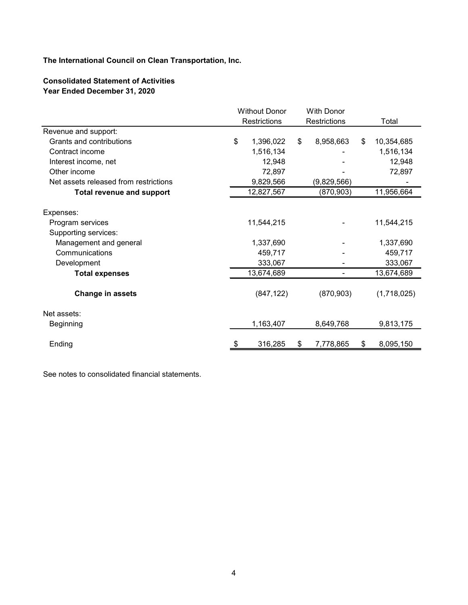# **Consolidated Statement of Activities Year Ended December 31, 2020**

| <b>Restrictions</b><br><b>Restrictions</b><br>Total<br>Revenue and support:<br>\$<br>8,958,663<br>Grants and contributions<br>1,396,022<br>\$<br>10,354,685<br>\$<br>Contract income<br>1,516,134<br>1,516,134<br>Interest income, net<br>12,948<br>12,948<br>Other income<br>72,897<br>72,897<br>9,829,566<br>Net assets released from restrictions<br>(9,829,566)<br>11,956,664<br>12,827,567<br><b>Total revenue and support</b><br>(870, 903)<br>Expenses:<br>11,544,215<br>11,544,215<br>Program services<br>Supporting services:<br>1,337,690<br>1,337,690<br>Management and general<br>Communications<br>459,717<br>459,717<br>333,067<br>333,067<br>Development<br>13,674,689<br>13,674,689<br><b>Total expenses</b><br>$\overline{a}$<br>(847, 122)<br>(870, 903)<br>(1,718,025)<br>Change in assets<br>Net assets:<br>1,163,407<br>8,649,768<br>9,813,175<br>Beginning |  | <b>Without Donor</b> | <b>With Donor</b> |           |  |
|----------------------------------------------------------------------------------------------------------------------------------------------------------------------------------------------------------------------------------------------------------------------------------------------------------------------------------------------------------------------------------------------------------------------------------------------------------------------------------------------------------------------------------------------------------------------------------------------------------------------------------------------------------------------------------------------------------------------------------------------------------------------------------------------------------------------------------------------------------------------------------|--|----------------------|-------------------|-----------|--|
|                                                                                                                                                                                                                                                                                                                                                                                                                                                                                                                                                                                                                                                                                                                                                                                                                                                                                  |  |                      |                   |           |  |
|                                                                                                                                                                                                                                                                                                                                                                                                                                                                                                                                                                                                                                                                                                                                                                                                                                                                                  |  |                      |                   |           |  |
|                                                                                                                                                                                                                                                                                                                                                                                                                                                                                                                                                                                                                                                                                                                                                                                                                                                                                  |  |                      |                   |           |  |
|                                                                                                                                                                                                                                                                                                                                                                                                                                                                                                                                                                                                                                                                                                                                                                                                                                                                                  |  |                      |                   |           |  |
|                                                                                                                                                                                                                                                                                                                                                                                                                                                                                                                                                                                                                                                                                                                                                                                                                                                                                  |  |                      |                   |           |  |
|                                                                                                                                                                                                                                                                                                                                                                                                                                                                                                                                                                                                                                                                                                                                                                                                                                                                                  |  |                      |                   |           |  |
|                                                                                                                                                                                                                                                                                                                                                                                                                                                                                                                                                                                                                                                                                                                                                                                                                                                                                  |  |                      |                   |           |  |
|                                                                                                                                                                                                                                                                                                                                                                                                                                                                                                                                                                                                                                                                                                                                                                                                                                                                                  |  |                      |                   |           |  |
|                                                                                                                                                                                                                                                                                                                                                                                                                                                                                                                                                                                                                                                                                                                                                                                                                                                                                  |  |                      |                   |           |  |
|                                                                                                                                                                                                                                                                                                                                                                                                                                                                                                                                                                                                                                                                                                                                                                                                                                                                                  |  |                      |                   |           |  |
|                                                                                                                                                                                                                                                                                                                                                                                                                                                                                                                                                                                                                                                                                                                                                                                                                                                                                  |  |                      |                   |           |  |
|                                                                                                                                                                                                                                                                                                                                                                                                                                                                                                                                                                                                                                                                                                                                                                                                                                                                                  |  |                      |                   |           |  |
|                                                                                                                                                                                                                                                                                                                                                                                                                                                                                                                                                                                                                                                                                                                                                                                                                                                                                  |  |                      |                   |           |  |
|                                                                                                                                                                                                                                                                                                                                                                                                                                                                                                                                                                                                                                                                                                                                                                                                                                                                                  |  |                      |                   |           |  |
|                                                                                                                                                                                                                                                                                                                                                                                                                                                                                                                                                                                                                                                                                                                                                                                                                                                                                  |  |                      |                   |           |  |
|                                                                                                                                                                                                                                                                                                                                                                                                                                                                                                                                                                                                                                                                                                                                                                                                                                                                                  |  |                      |                   |           |  |
|                                                                                                                                                                                                                                                                                                                                                                                                                                                                                                                                                                                                                                                                                                                                                                                                                                                                                  |  |                      |                   |           |  |
|                                                                                                                                                                                                                                                                                                                                                                                                                                                                                                                                                                                                                                                                                                                                                                                                                                                                                  |  |                      |                   |           |  |
|                                                                                                                                                                                                                                                                                                                                                                                                                                                                                                                                                                                                                                                                                                                                                                                                                                                                                  |  |                      |                   |           |  |
|                                                                                                                                                                                                                                                                                                                                                                                                                                                                                                                                                                                                                                                                                                                                                                                                                                                                                  |  |                      |                   |           |  |
| Ending<br>\$<br>\$<br>\$                                                                                                                                                                                                                                                                                                                                                                                                                                                                                                                                                                                                                                                                                                                                                                                                                                                         |  | 316,285              | 7,778,865         | 8,095,150 |  |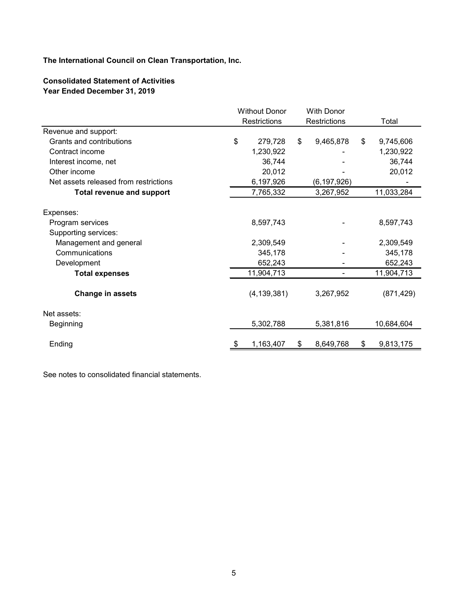# **Consolidated Statement of Activities Year Ended December 31, 2019**

|                                       |           | <b>Without Donor</b> |    | <b>With Donor</b>   |    |            |
|---------------------------------------|-----------|----------------------|----|---------------------|----|------------|
|                                       |           | Restrictions         |    | <b>Restrictions</b> |    | Total      |
| Revenue and support:                  |           |                      |    |                     |    |            |
| Grants and contributions              | \$        | 279,728              | \$ | 9,465,878           | \$ | 9,745,606  |
| Contract income                       |           | 1,230,922            |    |                     |    | 1,230,922  |
| Interest income, net                  |           | 36,744               |    |                     |    | 36,744     |
| Other income                          |           | 20,012               |    |                     |    | 20,012     |
| Net assets released from restrictions |           | 6,197,926            |    | (6, 197, 926)       |    |            |
| <b>Total revenue and support</b>      |           | 7,765,332            |    | 3,267,952           |    | 11,033,284 |
|                                       |           |                      |    |                     |    |            |
| Expenses:                             |           |                      |    |                     |    |            |
| Program services                      |           | 8,597,743            |    |                     |    | 8,597,743  |
| Supporting services:                  |           |                      |    |                     |    |            |
| Management and general                |           | 2,309,549            |    |                     |    | 2,309,549  |
| Communications                        |           | 345,178              |    |                     |    | 345,178    |
| Development                           |           | 652,243              |    |                     |    | 652,243    |
| <b>Total expenses</b>                 |           | 11,904,713           |    |                     |    | 11,904,713 |
|                                       |           |                      |    |                     |    |            |
| Change in assets                      |           | (4, 139, 381)        |    | 3,267,952           |    | (871, 429) |
| Net assets:                           |           |                      |    |                     |    |            |
| Beginning                             |           | 5,302,788            |    | 5,381,816           |    | 10,684,604 |
|                                       |           |                      |    |                     |    |            |
| Ending                                | <u>\$</u> | 1,163,407            | S  | 8,649,768           | \$ | 9,813,175  |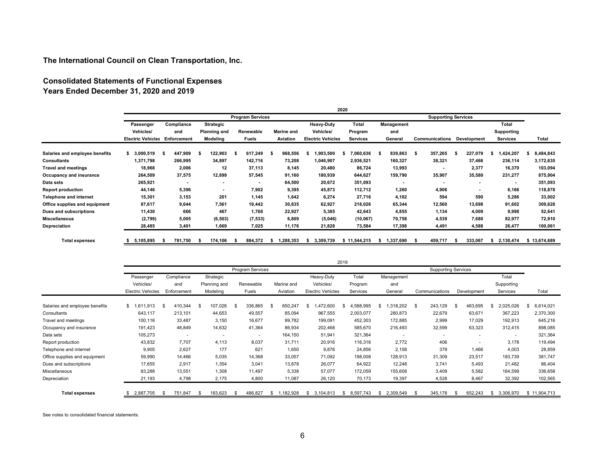# **Consolidated Statements of Functional Expenses Years Ended December 31, 2020 and 2019**

|                                |                          | 2020        |                     |                          |                   |                          |                 |                          |                            |                |            |              |
|--------------------------------|--------------------------|-------------|---------------------|--------------------------|-------------------|--------------------------|-----------------|--------------------------|----------------------------|----------------|------------|--------------|
|                                |                          |             |                     | <b>Program Services</b>  |                   |                          |                 |                          | <b>Supporting Services</b> |                |            |              |
|                                | Passenger                | Compliance  | Strategic           |                          |                   | <b>Heavy-Duty</b>        | Total           | Management               |                            |                | Total      |              |
|                                | Vehicles/                | and         | <b>Planning and</b> | Renewable                | <b>Marine and</b> | Vehicles/                | Program         | and                      |                            |                | Supporting |              |
|                                | <b>Electric Vehicles</b> | Enforcement | Modeling            | Fuels                    | Aviation          | <b>Electric Vehicles</b> | <b>Services</b> | General                  | Communications             | Development    | Services   | Total        |
| Salaries and employee benefits | 3,000,519                | 447,909     | 122,903             | 617,249                  | 968,556           | 1,903,500                | 7,060,636       | 839,863                  | 357,265<br>- \$            | 227,079        | ,424,207   | 8,484,843    |
| <b>Consultants</b>             | 1,371,798                | 266,995     | 34,897              | 142,716                  | 73,208            | 1,046,907                | 2,936,521       | 160,327                  | 38,321                     | 37,466         | 236,114    | 3,172,635    |
| <b>Travel and meetings</b>     | 18,968                   | 2,006       | 12                  | 37,113                   | 8,145             | 20,480                   | 86,724          | 13,993                   |                            | 2,377          | 16,370     | 103,094      |
| Occupancy and insurance        | 264,509                  | 37,575      | 12,899              | 57,545                   | 91,160            | 180,939                  | 644,627         | 159,790                  | 35,907                     | 35,580         | 231,277    | 875,904      |
| Data sets                      | 265,921                  |             | $\blacksquare$      | $\overline{\phantom{a}}$ | 64,500            | 20,672                   | 351,093         | $\overline{\phantom{a}}$ |                            | $\blacksquare$ |            | 351,093      |
| <b>Report production</b>       | 44,146                   | 5,396       | $\sim$              | 7,902                    | 9,395             | 45,873                   | 112,712         | 1,260                    | 4,906                      | $\blacksquare$ | 6,166      | 118,878      |
| <b>Telephone and internet</b>  | 15,301                   | 3,153       | 201                 | 1,145                    | 1,642             | 6,274                    | 27,716          | 4,102                    | 594                        | 590            | 5,286      | 33,002       |
| Office supplies and equipment  | 87,617                   | 9,644       | 7,561               | 19,442                   | 30,835            | 62,927                   | 218,026         | 65,344                   | 12,560                     | 13,698         | 91,602     | 309,628      |
| Dues and subscriptions         | 11,430                   | 666         | 467                 | 1,768                    | 22,927            | 5,385                    | 42,643          | 4,855                    | 1,134                      | 4,009          | 9,998      | 52,641       |
| <b>Miscellaneous</b>           | (2,799)                  | 5,005       | (6, 503)            | (7, 533)                 | 6,809             | (5,046)                  | (10, 067)       | 70,758                   | 4,539                      | 7,680          | 82,977     | 72,910       |
| Depreciation                   | 28,485                   | 3,401       | 1,669               | 7,025                    | 11,176            | 21,828                   | 73,584          | 17,398                   | 4,491                      | 4,588          | 26,477     | 100,061      |
| <b>Total expenses</b>          | 5,105,895                | 781,750     | 174,106             | 884,372                  | ,288,353<br>s     | 3,309,739                | \$11,544,215    | 1,337,690                | 459,717                    | 333,067        | 2.130.474  | \$13,674,689 |

|                                | 2019                     |                 |              |                          |                 |                          |                 |                  |                            |                          |                 |                 |
|--------------------------------|--------------------------|-----------------|--------------|--------------------------|-----------------|--------------------------|-----------------|------------------|----------------------------|--------------------------|-----------------|-----------------|
|                                |                          |                 |              | Program Services         |                 |                          |                 |                  | <b>Supporting Services</b> |                          |                 |                 |
|                                | Passenger                | Compliance      | Strategic    |                          |                 | Heavy-Duty               | Total           | Management       |                            |                          | Total           |                 |
|                                | Vehicles/                | and             | Planning and | Renewable                | Marine and      | Vehicles/                | Program         | and              |                            |                          | Supporting      |                 |
|                                | <b>Electric Vehicles</b> | Enforcement     | Modeling     | Fuels                    | Aviation        | <b>Electric Vehicles</b> | Services        | General          | Communications             | Development              | Services        | Total           |
|                                |                          |                 |              |                          |                 |                          |                 |                  |                            |                          |                 |                 |
| Salaries and employee benefits | 1.913<br>\$1,61          | 410,344<br>- \$ | 107,026      | 336,865<br>-96           | 650,247<br>\$   | .472.600<br>-86          | ,588,995        | .318.202         | 243,129<br>\$              | 463,695                  | 2,025,026       | 6,614,021<br>\$ |
| Consultants                    | 643,117                  | 213,101         | 44,653       | 49,557                   | 85,094          | 967,555                  | 2,003,077       | 280,873          | 22,679                     | 63,671                   | 367,223         | 2,370,300       |
| Travel and meetings            | 100,116                  | 33,487          | 3,150        | 16,677                   | 99,782          | 199,091                  | 452,303         | 172,885          | 2,999                      | 17,029                   | 192,913         | 645,216         |
| Occupancy and insurance        | 191,423                  | 48,849          | 14,632       | 41,364                   | 86,934          | 202,468                  | 585,670         | 216,493          | 32,599                     | 63,323                   | 312,415         | 898,085         |
| Data sets                      | 105,273                  |                 |              | $\overline{\phantom{a}}$ | 164,150         | 51,941                   | 321,364         |                  |                            | $\overline{\phantom{a}}$ | $\sim$          | 321,364         |
| Report production              | 43,832                   | 7,707           | 4,113        | 8.037                    | 31,711          | 20,916                   | 116,316         | 2,772            | 406                        | ٠                        | 3,178           | 119,494         |
| Telephone and internet         | 9,905                    | 2,627           | 177          | 621                      | 1,650           | 9,876                    | 24,856          | 2,158            | 379                        | 1,466                    | 4,003           | 28,859          |
| Office supplies and equipment  | 59,990                   | 14,466          | 5,035        | 14,368                   | 33,057          | 71,092                   | 198,008         | 128,913          | 31,309                     | 23,517                   | 183,739         | 381,747         |
| Dues and subscriptions         | 17,655                   | 2,917           | 1,354        | 3.041                    | 13,878          | 26,077                   | 64,922          | 12,248           | 3,741                      | 5,493                    | 21,482          | 86,404          |
| Miscellaneous                  | 83,288                   | 13,551          | 1,308        | 11,497                   | 5,338           | 57,077                   | 172,059         | 155,608          | 3,409                      | 5,582                    | 164,599         | 336,658         |
| Depreciation                   | 21,193                   | 4,798           | 2,175        | 4,800                    | 11,087          | 26,120                   | 70,173          | 19,397           | 4,528                      | 8,467                    | 32,392          | 102,565         |
| <b>Total expenses</b>          | 2,887,705                | 751,847<br>- \$ | 183,623      | 486,827<br>- \$          | 1,182,928<br>s. | 3,104,813<br>S           | 8,597,743<br>S. | 2,309,549<br>\$. | 345,178                    | 652,243<br>- \$          | 3,306,970<br>s. | \$11,904,713    |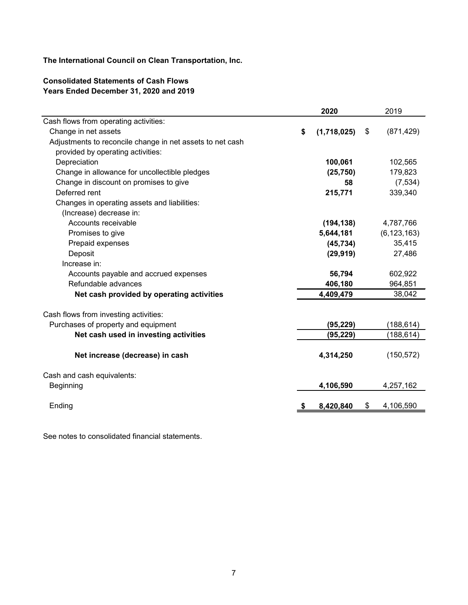# **Consolidated Statements of Cash Flows Years Ended December 31, 2020 and 2019**

|                                                           | 2020              | 2019             |
|-----------------------------------------------------------|-------------------|------------------|
| Cash flows from operating activities:                     |                   |                  |
| Change in net assets                                      | \$<br>(1,718,025) | \$<br>(871, 429) |
| Adjustments to reconcile change in net assets to net cash |                   |                  |
| provided by operating activities:                         |                   |                  |
| Depreciation                                              | 100,061           | 102,565          |
| Change in allowance for uncollectible pledges             | (25, 750)         | 179,823          |
| Change in discount on promises to give                    | 58                | (7, 534)         |
| Deferred rent                                             | 215,771           | 339,340          |
| Changes in operating assets and liabilities:              |                   |                  |
| (Increase) decrease in:                                   |                   |                  |
| Accounts receivable                                       | (194, 138)        | 4,787,766        |
| Promises to give                                          | 5,644,181         | (6, 123, 163)    |
| Prepaid expenses                                          | (45, 734)         | 35,415           |
| Deposit                                                   | (29, 919)         | 27,486           |
| Increase in:                                              |                   |                  |
| Accounts payable and accrued expenses                     | 56,794            | 602,922          |
| Refundable advances                                       | 406,180           | 964,851          |
| Net cash provided by operating activities                 | 4,409,479         | 38,042           |
| Cash flows from investing activities:                     |                   |                  |
| Purchases of property and equipment                       | (95, 229)         | (188, 614)       |
| Net cash used in investing activities                     | (95, 229)         | (188,614)        |
| Net increase (decrease) in cash                           | 4,314,250         | (150, 572)       |
| Cash and cash equivalents:                                |                   |                  |
| <b>Beginning</b>                                          | 4,106,590         | 4,257,162        |
| Ending                                                    | \$<br>8,420,840   | \$<br>4,106,590  |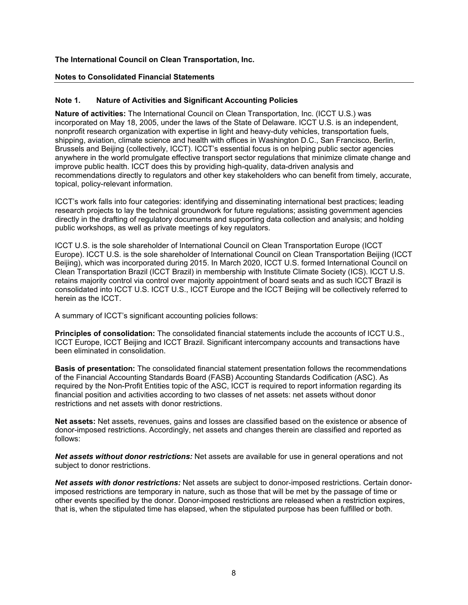#### **Notes to Consolidated Financial Statements**

#### **Note 1. Nature of Activities and Significant Accounting Policies**

**Nature of activities:** The International Council on Clean Transportation, Inc. (ICCT U.S.) was incorporated on May 18, 2005, under the laws of the State of Delaware. ICCT U.S. is an independent, nonprofit research organization with expertise in light and heavy-duty vehicles, transportation fuels, shipping, aviation, climate science and health with offices in Washington D.C., San Francisco, Berlin, Brussels and Beijing (collectively, ICCT). ICCT's essential focus is on helping public sector agencies anywhere in the world promulgate effective transport sector regulations that minimize climate change and improve public health. ICCT does this by providing high-quality, data-driven analysis and recommendations directly to regulators and other key stakeholders who can benefit from timely, accurate, topical, policy-relevant information.

ICCT's work falls into four categories: identifying and disseminating international best practices; leading research projects to lay the technical groundwork for future regulations; assisting government agencies directly in the drafting of regulatory documents and supporting data collection and analysis; and holding public workshops, as well as private meetings of key regulators.

ICCT U.S. is the sole shareholder of International Council on Clean Transportation Europe (ICCT Europe). ICCT U.S. is the sole shareholder of International Council on Clean Transportation Beijing (ICCT Beijing), which was incorporated during 2015. In March 2020, ICCT U.S. formed International Council on Clean Transportation Brazil (ICCT Brazil) in membership with Institute Climate Society (ICS). ICCT U.S. retains majority control via control over majority appointment of board seats and as such ICCT Brazil is consolidated into ICCT U.S. ICCT U.S., ICCT Europe and the ICCT Beijing will be collectively referred to herein as the ICCT.

A summary of ICCT's significant accounting policies follows:

**Principles of consolidation:** The consolidated financial statements include the accounts of ICCT U.S., ICCT Europe, ICCT Beijing and ICCT Brazil. Significant intercompany accounts and transactions have been eliminated in consolidation.

**Basis of presentation:** The consolidated financial statement presentation follows the recommendations of the Financial Accounting Standards Board (FASB) Accounting Standards Codification (ASC). As required by the Non-Profit Entities topic of the ASC, ICCT is required to report information regarding its financial position and activities according to two classes of net assets: net assets without donor restrictions and net assets with donor restrictions.

**Net assets:** Net assets, revenues, gains and losses are classified based on the existence or absence of donor-imposed restrictions. Accordingly, net assets and changes therein are classified and reported as follows:

*Net assets without donor restrictions:* Net assets are available for use in general operations and not subject to donor restrictions.

*Net assets with donor restrictions:* Net assets are subject to donor-imposed restrictions. Certain donorimposed restrictions are temporary in nature, such as those that will be met by the passage of time or other events specified by the donor. Donor-imposed restrictions are released when a restriction expires, that is, when the stipulated time has elapsed, when the stipulated purpose has been fulfilled or both.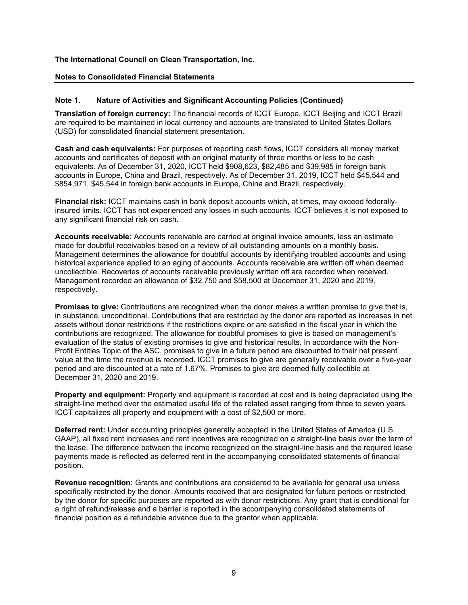#### **Notes to Consolidated Financial Statements**

# **Note 1. Nature of Activities and Significant Accounting Policies (Continued)**

**Translation of foreign currency:** The financial records of ICCT Europe, ICCT Beijing and ICCT Brazil are required to be maintained in local currency and accounts are translated to United States Dollars (USD) for consolidated financial statement presentation.

**Cash and cash equivalents:** For purposes of reporting cash flows, ICCT considers all money market accounts and certificates of deposit with an original maturity of three months or less to be cash equivalents. As of December 31, 2020, ICCT held \$908,623, \$82,485 and \$39,985 in foreign bank accounts in Europe, China and Brazil, respectively. As of December 31, 2019, ICCT held \$45,544 and \$854,971, \$45,544 in foreign bank accounts in Europe, China and Brazil, respectively.

**Financial risk:** ICCT maintains cash in bank deposit accounts which, at times, may exceed federallyinsured limits. ICCT has not experienced any losses in such accounts. ICCT believes it is not exposed to any significant financial risk on cash.

**Accounts receivable:** Accounts receivable are carried at original invoice amounts, less an estimate made for doubtful receivables based on a review of all outstanding amounts on a monthly basis. Management determines the allowance for doubtful accounts by identifying troubled accounts and using historical experience applied to an aging of accounts. Accounts receivable are written off when deemed uncollectible. Recoveries of accounts receivable previously written off are recorded when received. Management recorded an allowance of \$32,750 and \$58,500 at December 31, 2020 and 2019, respectively.

**Promises to give:** Contributions are recognized when the donor makes a written promise to give that is, in substance, unconditional. Contributions that are restricted by the donor are reported as increases in net assets without donor restrictions if the restrictions expire or are satisfied in the fiscal year in which the contributions are recognized. The allowance for doubtful promises to give is based on management's evaluation of the status of existing promises to give and historical results. In accordance with the Non-Profit Entities Topic of the ASC, promises to give in a future period are discounted to their net present value at the time the revenue is recorded. ICCT promises to give are generally receivable over a five-year period and are discounted at a rate of 1.67%. Promises to give are deemed fully collectible at December 31, 2020 and 2019.

**Property and equipment:** Property and equipment is recorded at cost and is being depreciated using the straight-line method over the estimated useful life of the related asset ranging from three to seven years. ICCT capitalizes all property and equipment with a cost of \$2,500 or more.

**Deferred rent:** Under accounting principles generally accepted in the United States of America (U.S. GAAP), all fixed rent increases and rent incentives are recognized on a straight-line basis over the term of the lease. The difference between the income recognized on the straight-line basis and the required lease payments made is reflected as deferred rent in the accompanying consolidated statements of financial position.

**Revenue recognition:** Grants and contributions are considered to be available for general use unless specifically restricted by the donor. Amounts received that are designated for future periods or restricted by the donor for specific purposes are reported as with donor restrictions. Any grant that is conditional for a right of refund/release and a barrier is reported in the accompanying consolidated statements of financial position as a refundable advance due to the grantor when applicable.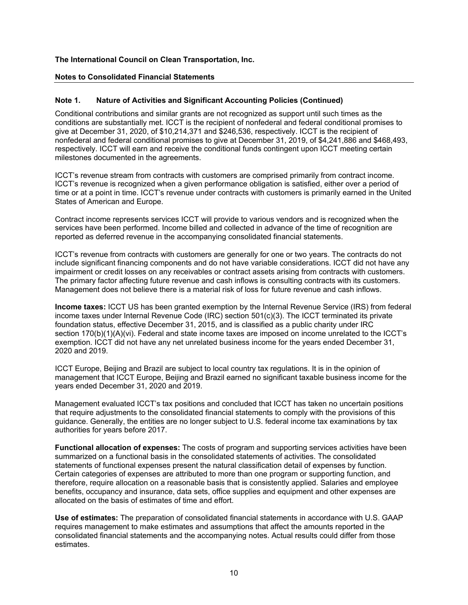#### **Notes to Consolidated Financial Statements**

#### **Note 1. Nature of Activities and Significant Accounting Policies (Continued)**

Conditional contributions and similar grants are not recognized as support until such times as the conditions are substantially met. ICCT is the recipient of nonfederal and federal conditional promises to give at December 31, 2020, of \$10,214,371 and \$246,536, respectively. ICCT is the recipient of nonfederal and federal conditional promises to give at December 31, 2019, of \$4,241,886 and \$468,493, respectively. ICCT will earn and receive the conditional funds contingent upon ICCT meeting certain milestones documented in the agreements.

ICCT's revenue stream from contracts with customers are comprised primarily from contract income. ICCT's revenue is recognized when a given performance obligation is satisfied, either over a period of time or at a point in time. ICCT's revenue under contracts with customers is primarily earned in the United States of American and Europe.

Contract income represents services ICCT will provide to various vendors and is recognized when the services have been performed. Income billed and collected in advance of the time of recognition are reported as deferred revenue in the accompanying consolidated financial statements.

ICCT's revenue from contracts with customers are generally for one or two years. The contracts do not include significant financing components and do not have variable considerations. ICCT did not have any impairment or credit losses on any receivables or contract assets arising from contracts with customers. The primary factor affecting future revenue and cash inflows is consulting contracts with its customers. Management does not believe there is a material risk of loss for future revenue and cash inflows.

**Income taxes:** ICCT US has been granted exemption by the Internal Revenue Service (IRS) from federal income taxes under Internal Revenue Code (IRC) section 501(c)(3). The ICCT terminated its private foundation status, effective December 31, 2015, and is classified as a public charity under IRC section 170(b)(1)(A)(vi). Federal and state income taxes are imposed on income unrelated to the ICCT's exemption. ICCT did not have any net unrelated business income for the years ended December 31, 2020 and 2019.

ICCT Europe, Beijing and Brazil are subject to local country tax regulations. It is in the opinion of management that ICCT Europe, Beijing and Brazil earned no significant taxable business income for the years ended December 31, 2020 and 2019.

Management evaluated ICCT's tax positions and concluded that ICCT has taken no uncertain positions that require adjustments to the consolidated financial statements to comply with the provisions of this guidance. Generally, the entities are no longer subject to U.S. federal income tax examinations by tax authorities for years before 2017.

**Functional allocation of expenses:** The costs of program and supporting services activities have been summarized on a functional basis in the consolidated statements of activities. The consolidated statements of functional expenses present the natural classification detail of expenses by function. Certain categories of expenses are attributed to more than one program or supporting function, and therefore, require allocation on a reasonable basis that is consistently applied. Salaries and employee benefits, occupancy and insurance, data sets, office supplies and equipment and other expenses are allocated on the basis of estimates of time and effort.

**Use of estimates:** The preparation of consolidated financial statements in accordance with U.S. GAAP requires management to make estimates and assumptions that affect the amounts reported in the consolidated financial statements and the accompanying notes. Actual results could differ from those estimates.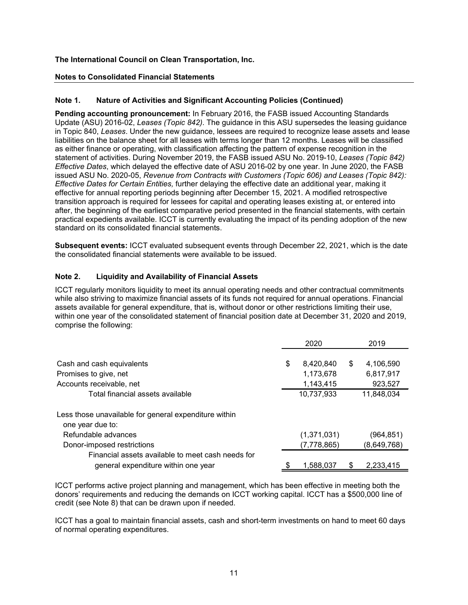#### **Notes to Consolidated Financial Statements**

# **Note 1. Nature of Activities and Significant Accounting Policies (Continued)**

**Pending accounting pronouncement:** In February 2016, the FASB issued Accounting Standards Update (ASU) 2016-02, *Leases (Topic 842)*. The guidance in this ASU supersedes the leasing guidance in Topic 840, *Leases*. Under the new guidance, lessees are required to recognize lease assets and lease liabilities on the balance sheet for all leases with terms longer than 12 months. Leases will be classified as either finance or operating, with classification affecting the pattern of expense recognition in the statement of activities. During November 2019, the FASB issued ASU No. 2019-10, *Leases (Topic 842) Effective Dates*, which delayed the effective date of ASU 2016-02 by one year. In June 2020, the FASB issued ASU No. 2020-05, *Revenue from Contracts with Customers (Topic 606) and Leases (Topic 842): Effective Dates for Certain Entities,* further delaying the effective date an additional year, making it effective for annual reporting periods beginning after December 15, 2021. A modified retrospective transition approach is required for lessees for capital and operating leases existing at, or entered into after, the beginning of the earliest comparative period presented in the financial statements, with certain practical expedients available. ICCT is currently evaluating the impact of its pending adoption of the new standard on its consolidated financial statements.

**Subsequent events:** ICCT evaluated subsequent events through December 22, 2021, which is the date the consolidated financial statements were available to be issued.

#### **Note 2. Liquidity and Availability of Financial Assets**

ICCT regularly monitors liquidity to meet its annual operating needs and other contractual commitments while also striving to maximize financial assets of its funds not required for annual operations. Financial assets available for general expenditure, that is, without donor or other restrictions limiting their use, within one year of the consolidated statement of financial position date at December 31, 2020 and 2019, comprise the following:

|                                                       | 2020            |   | 2019        |
|-------------------------------------------------------|-----------------|---|-------------|
|                                                       |                 |   |             |
| Cash and cash equivalents                             | \$<br>8,420,840 | S | 4,106,590   |
| Promises to give, net                                 | 1,173,678       |   | 6,817,917   |
| Accounts receivable, net                              | 1,143,415       |   | 923,527     |
| Total financial assets available                      | 10,737,933      |   | 11,848,034  |
| Less those unavailable for general expenditure within |                 |   |             |
| one year due to:                                      |                 |   |             |
| Refundable advances                                   | (1,371,031)     |   | (964,851)   |
| Donor-imposed restrictions                            | (7, 778, 865)   |   | (8,649,768) |
| Financial assets available to meet cash needs for     |                 |   |             |
| general expenditure within one year                   | 1,588,037       |   | 2,233,415   |

ICCT performs active project planning and management, which has been effective in meeting both the donors' requirements and reducing the demands on ICCT working capital. ICCT has a \$500,000 line of credit (see Note 8) that can be drawn upon if needed.

ICCT has a goal to maintain financial assets, cash and short-term investments on hand to meet 60 days of normal operating expenditures.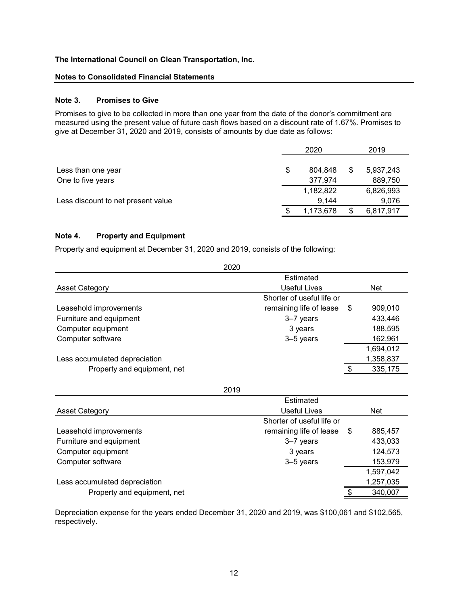#### **Notes to Consolidated Financial Statements**

#### **Note 3. Promises to Give**

Promises to give to be collected in more than one year from the date of the donor's commitment are measured using the present value of future cash flows based on a discount rate of 1.67%. Promises to give at December 31, 2020 and 2019, consists of amounts by due date as follows:

|                                    | 2020          | 2019            |
|------------------------------------|---------------|-----------------|
|                                    |               |                 |
| Less than one year                 | \$<br>804.848 | \$<br>5,937,243 |
| One to five years                  | 377,974       | 889,750         |
|                                    | 1,182,822     | 6,826,993       |
| Less discount to net present value | 9,144         | 9,076           |
|                                    | 1,173,678     | 6,817,917       |

#### **Note 4. Property and Equipment**

Property and equipment at December 31, 2020 and 2019, consists of the following:

|                               | 2020                      |      |            |
|-------------------------------|---------------------------|------|------------|
|                               | Estimated                 |      |            |
| Asset Category                | Useful Lives              |      | <b>Net</b> |
|                               | Shorter of useful life or |      |            |
| Leasehold improvements        | remaining life of lease   | - \$ | 909,010    |
| Furniture and equipment       | 3-7 years                 |      | 433,446    |
| Computer equipment            | 3 years                   |      | 188,595    |
| Computer software             | 3-5 years                 |      | 162,961    |
|                               |                           |      | 1,694,012  |
| Less accumulated depreciation |                           |      | 1,358,837  |
| Property and equipment, net   |                           |      | 335,175    |

2019

|                               | Estimated                 |      |            |
|-------------------------------|---------------------------|------|------------|
| <b>Asset Category</b>         | Useful Lives              |      | <b>Net</b> |
|                               | Shorter of useful life or |      |            |
| Leasehold improvements        | remaining life of lease   | - \$ | 885,457    |
| Furniture and equipment       | 3-7 years                 |      | 433,033    |
| Computer equipment            | 3 years                   |      | 124,573    |
| Computer software             | 3-5 years                 |      | 153,979    |
|                               |                           |      | 1,597,042  |
| Less accumulated depreciation |                           |      | 1,257,035  |
| Property and equipment, net   |                           |      | 340,007    |

Depreciation expense for the years ended December 31, 2020 and 2019, was \$100,061 and \$102,565, respectively.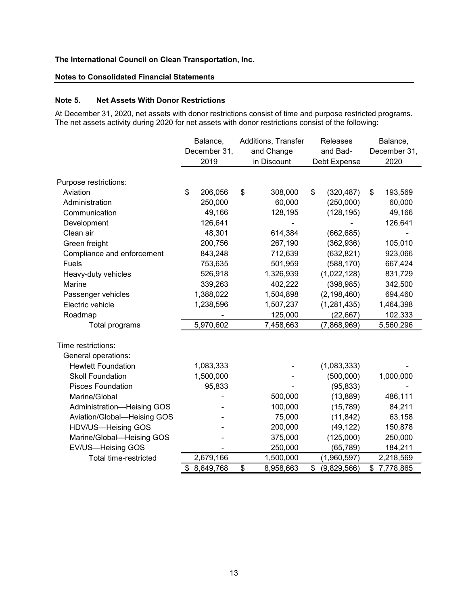# **Notes to Consolidated Financial Statements**

#### **Note 5. Net Assets With Donor Restrictions**

At December 31, 2020, net assets with donor restrictions consist of time and purpose restricted programs. The net assets activity during 2020 for net assets with donor restrictions consist of the following:

|                             | Balance,      |             | Additions, Transfer |              | Releases      |    | Balance,     |  |
|-----------------------------|---------------|-------------|---------------------|--------------|---------------|----|--------------|--|
|                             | December 31,  |             | and Change          |              | and Bad-      |    | December 31, |  |
|                             | 2019          | in Discount |                     | Debt Expense |               |    | 2020         |  |
| Purpose restrictions:       |               |             |                     |              |               |    |              |  |
| Aviation                    | \$<br>206,056 | \$          | 308,000             | \$           | (320, 487)    | \$ | 193,569      |  |
| Administration              | 250,000       |             | 60,000              |              | (250,000)     |    | 60,000       |  |
| Communication               | 49,166        |             | 128,195             |              | (128, 195)    |    | 49,166       |  |
| Development                 | 126,641       |             |                     |              |               |    | 126,641      |  |
| Clean air                   | 48,301        |             | 614,384             |              | (662, 685)    |    |              |  |
| Green freight               | 200,756       |             | 267,190             |              | (362, 936)    |    | 105,010      |  |
| Compliance and enforcement  | 843,248       |             | 712,639             |              | (632, 821)    |    | 923,066      |  |
| Fuels                       | 753,635       |             | 501,959             |              | (588, 170)    |    | 667,424      |  |
| Heavy-duty vehicles         | 526,918       |             | 1,326,939           |              | (1,022,128)   |    | 831,729      |  |
| Marine                      | 339,263       |             | 402,222             |              | (398, 985)    |    | 342,500      |  |
| Passenger vehicles          | 1,388,022     |             | 1,504,898           |              | (2, 198, 460) |    | 694,460      |  |
| Electric vehicle            | 1,238,596     |             | 1,507,237           |              | (1, 281, 435) |    | 1,464,398    |  |
| Roadmap                     |               |             | 125,000             |              | (22, 667)     |    | 102,333      |  |
| Total programs              | 5,970,602     |             | 7,458,663           |              | (7,868,969)   |    | 5,560,296    |  |
|                             |               |             |                     |              |               |    |              |  |
| Time restrictions:          |               |             |                     |              |               |    |              |  |
| General operations:         |               |             |                     |              |               |    |              |  |
| <b>Hewlett Foundation</b>   | 1,083,333     |             |                     |              | (1,083,333)   |    |              |  |
| <b>Skoll Foundation</b>     | 1,500,000     |             |                     |              | (500,000)     |    | 1,000,000    |  |
| <b>Pisces Foundation</b>    | 95,833        |             |                     |              | (95, 833)     |    |              |  |
| Marine/Global               |               |             | 500,000             |              | (13, 889)     |    | 486,111      |  |
| Administration-Heising GOS  |               |             | 100,000             |              | (15, 789)     |    | 84,211       |  |
| Aviation/Global-Heising GOS |               |             | 75,000              |              | (11, 842)     |    | 63,158       |  |
| HDV/US-Heising GOS          |               |             | 200,000             |              | (49, 122)     |    | 150,878      |  |
| Marine/Global-Heising GOS   |               |             | 375,000             |              | (125,000)     |    | 250,000      |  |
| EV/US-Heising GOS           |               |             | 250,000             |              | (65, 789)     |    | 184,211      |  |
| Total time-restricted       | 2,679,166     |             | 1,500,000           |              | (1,960,597)   |    | 2,218,569    |  |
|                             | \$ 8,649,768  | \$          | 8,958,663           | \$           | (9,829,566)   | \$ | 7,778,865    |  |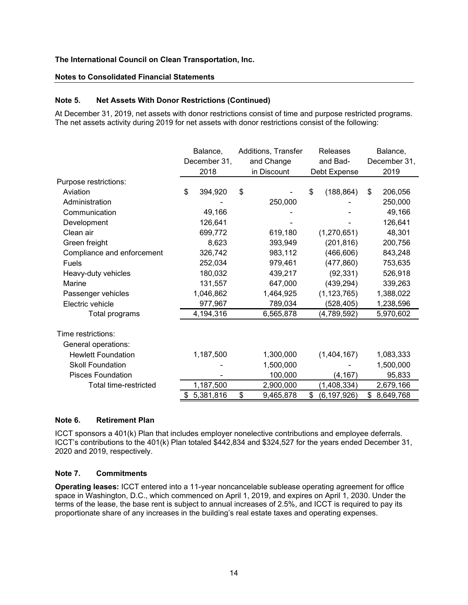#### **Notes to Consolidated Financial Statements**

# **Note 5. Net Assets With Donor Restrictions (Continued)**

At December 31, 2019, net assets with donor restrictions consist of time and purpose restricted programs. The net assets activity during 2019 for net assets with donor restrictions consist of the following:

|                            |    | Balance,<br>December 31, |    | Additions, Transfer |          | Releases      |              | Balance,    |  |
|----------------------------|----|--------------------------|----|---------------------|----------|---------------|--------------|-------------|--|
|                            |    |                          |    | and Change          | and Bad- |               | December 31, |             |  |
|                            |    | 2018                     |    | in Discount         |          | Debt Expense  |              | 2019        |  |
| Purpose restrictions:      |    |                          |    |                     |          |               |              |             |  |
| Aviation                   | \$ | 394,920                  | \$ |                     | \$       | (188, 864)    | \$           | 206,056     |  |
| Administration             |    |                          |    | 250,000             |          |               |              | 250,000     |  |
| Communication              |    | 49,166                   |    |                     |          |               |              | 49,166      |  |
| Development                |    | 126,641                  |    |                     |          |               |              | 126,641     |  |
| Clean air                  |    | 699,772                  |    | 619,180             |          | (1,270,651)   |              | 48,301      |  |
| Green freight              |    | 8,623                    |    | 393,949             |          | (201, 816)    |              | 200,756     |  |
| Compliance and enforcement |    | 326,742                  |    | 983,112             |          | (466, 606)    |              | 843,248     |  |
| Fuels                      |    | 252,034                  |    | 979,461             |          | (477, 860)    |              | 753,635     |  |
| Heavy-duty vehicles        |    | 180,032                  |    | 439,217             |          | (92, 331)     |              | 526,918     |  |
| Marine                     |    | 131,557                  |    | 647,000             |          | (439, 294)    |              | 339,263     |  |
| Passenger vehicles         |    | 1,046,862                |    | 1,464,925           |          | (1, 123, 765) |              | 1,388,022   |  |
| Electric vehicle           |    | 977,967                  |    | 789,034             |          | (528, 405)    |              | 1,238,596   |  |
| Total programs             |    | 4,194,316                |    | 6,565,878           |          | (4,789,592)   |              | 5,970,602   |  |
| Time restrictions:         |    |                          |    |                     |          |               |              |             |  |
| General operations:        |    |                          |    |                     |          |               |              |             |  |
| <b>Hewlett Foundation</b>  |    | 1,187,500                |    | 1,300,000           |          | (1,404,167)   |              | 1,083,333   |  |
| <b>Skoll Foundation</b>    |    |                          |    | 1,500,000           |          |               |              | 1,500,000   |  |
| <b>Pisces Foundation</b>   |    |                          |    | 100,000             |          | (4, 167)      |              | 95,833      |  |
| Total time-restricted      |    | 1,187,500                |    | 2,900,000           |          | (1,408,334)   |              | 2,679,166   |  |
|                            |    | \$5,381,816              | \$ | 9,465,878           | \$       | (6, 197, 926) |              | \$8,649,768 |  |

# **Note 6. Retirement Plan**

ICCT sponsors a 401(k) Plan that includes employer nonelective contributions and employee deferrals. ICCT's contributions to the 401(k) Plan totaled \$442,834 and \$324,527 for the years ended December 31, 2020 and 2019, respectively.

#### **Note 7. Commitments**

**Operating leases:** ICCT entered into a 11-year noncancelable sublease operating agreement for office space in Washington, D.C., which commenced on April 1, 2019, and expires on April 1, 2030. Under the terms of the lease, the base rent is subject to annual increases of 2.5%, and ICCT is required to pay its proportionate share of any increases in the building's real estate taxes and operating expenses.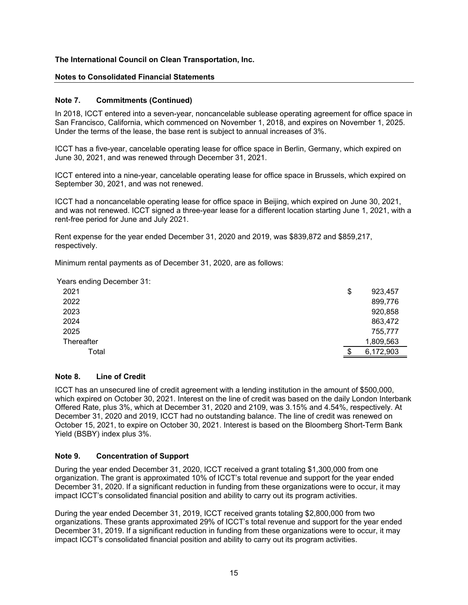#### **Notes to Consolidated Financial Statements**

#### **Note 7. Commitments (Continued)**

In 2018, ICCT entered into a seven-year, noncancelable sublease operating agreement for office space in San Francisco, California, which commenced on November 1, 2018, and expires on November 1, 2025. Under the terms of the lease, the base rent is subject to annual increases of 3%.

ICCT has a five-year, cancelable operating lease for office space in Berlin, Germany, which expired on June 30, 2021, and was renewed through December 31, 2021.

ICCT entered into a nine-year, cancelable operating lease for office space in Brussels, which expired on September 30, 2021, and was not renewed.

ICCT had a noncancelable operating lease for office space in Beijing, which expired on June 30, 2021, and was not renewed. ICCT signed a three-year lease for a different location starting June 1, 2021, with a rent-free period for June and July 2021.

Rent expense for the year ended December 31, 2020 and 2019, was \$839,872 and \$859,217, respectively.

Minimum rental payments as of December 31, 2020, are as follows:

Years ending December 31:

| 2021       | \$  | 923,457   |
|------------|-----|-----------|
| 2022       |     | 899,776   |
| 2023       |     | 920,858   |
| 2024       |     | 863,472   |
| 2025       |     | 755,777   |
| Thereafter |     | 1,809,563 |
| Total      | \$. | 6,172,903 |

# **Note 8. Line of Credit**

ICCT has an unsecured line of credit agreement with a lending institution in the amount of \$500,000, which expired on October 30, 2021. Interest on the line of credit was based on the daily London Interbank Offered Rate, plus 3%, which at December 31, 2020 and 2109, was 3.15% and 4.54%, respectively. At December 31, 2020 and 2019, ICCT had no outstanding balance. The line of credit was renewed on October 15, 2021, to expire on October 30, 2021. Interest is based on the Bloomberg Short-Term Bank Yield (BSBY) index plus 3%.

#### **Note 9. Concentration of Support**

During the year ended December 31, 2020, ICCT received a grant totaling \$1,300,000 from one organization. The grant is approximated 10% of ICCT's total revenue and support for the year ended December 31, 2020. If a significant reduction in funding from these organizations were to occur, it may impact ICCT's consolidated financial position and ability to carry out its program activities.

During the year ended December 31, 2019, ICCT received grants totaling \$2,800,000 from two organizations. These grants approximated 29% of ICCT's total revenue and support for the year ended December 31, 2019. If a significant reduction in funding from these organizations were to occur, it may impact ICCT's consolidated financial position and ability to carry out its program activities.